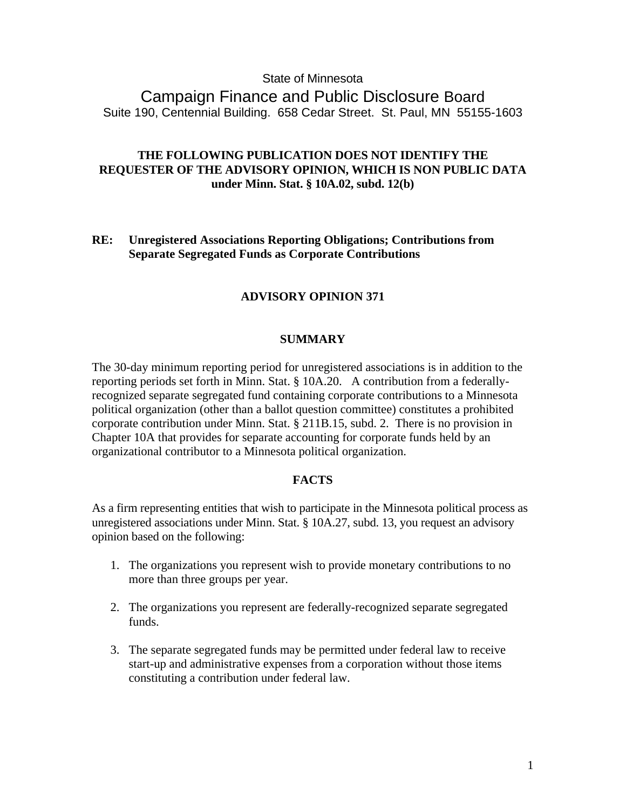## State of Minnesota

Campaign Finance and Public Disclosure Board Suite 190, Centennial Building. 658 Cedar Street. St. Paul, MN 55155-1603

# **THE FOLLOWING PUBLICATION DOES NOT IDENTIFY THE REQUESTER OF THE ADVISORY OPINION, WHICH IS NON PUBLIC DATA under Minn. Stat. § 10A.02, subd. 12(b)**

**RE: Unregistered Associations Reporting Obligations; Contributions from Separate Segregated Funds as Corporate Contributions**

### **ADVISORY OPINION 371**

## **SUMMARY**

The 30-day minimum reporting period for unregistered associations is in addition to the reporting periods set forth in Minn. Stat. § 10A.20. A contribution from a federallyrecognized separate segregated fund containing corporate contributions to a Minnesota political organization (other than a ballot question committee) constitutes a prohibited corporate contribution under Minn. Stat. § 211B.15, subd. 2. There is no provision in Chapter 10A that provides for separate accounting for corporate funds held by an organizational contributor to a Minnesota political organization.

#### **FACTS**

As a firm representing entities that wish to participate in the Minnesota political process as unregistered associations under Minn. Stat. § 10A.27, subd. 13, you request an advisory opinion based on the following:

- 1. The organizations you represent wish to provide monetary contributions to no more than three groups per year.
- 2. The organizations you represent are federally-recognized separate segregated funds.
- 3. The separate segregated funds may be permitted under federal law to receive start-up and administrative expenses from a corporation without those items constituting a contribution under federal law.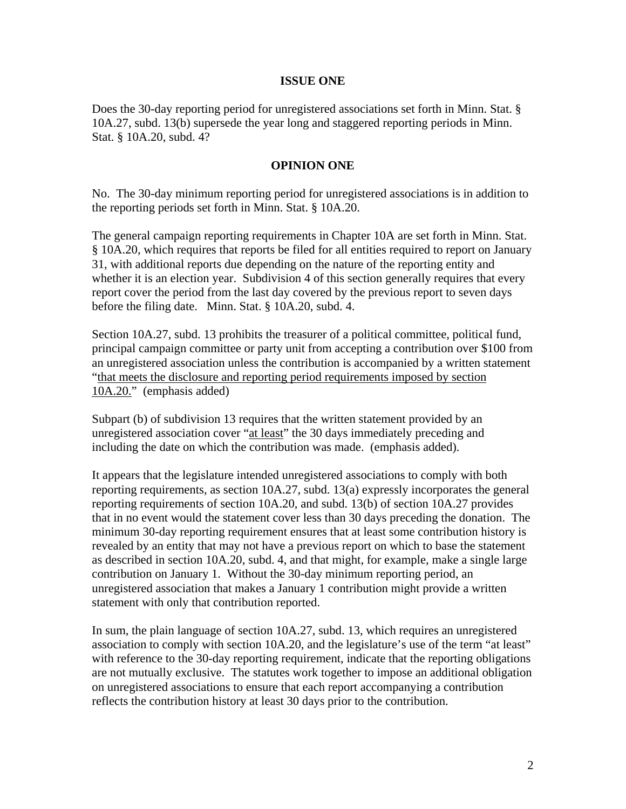### **ISSUE ONE**

Does the 30-day reporting period for unregistered associations set forth in Minn. Stat. § 10A.27, subd. 13(b) supersede the year long and staggered reporting periods in Minn. Stat. § 10A.20, subd. 4?

### **OPINION ONE**

No. The 30-day minimum reporting period for unregistered associations is in addition to the reporting periods set forth in Minn. Stat. § 10A.20.

The general campaign reporting requirements in Chapter 10A are set forth in Minn. Stat. § 10A.20, which requires that reports be filed for all entities required to report on January 31, with additional reports due depending on the nature of the reporting entity and whether it is an election year. Subdivision 4 of this section generally requires that every report cover the period from the last day covered by the previous report to seven days before the filing date. Minn. Stat. § 10A.20, subd. 4.

Section 10A.27, subd. 13 prohibits the treasurer of a political committee, political fund, principal campaign committee or party unit from accepting a contribution over \$100 from an unregistered association unless the contribution is accompanied by a written statement "that meets the disclosure and reporting period requirements imposed by section 10A.20." (emphasis added)

Subpart (b) of subdivision 13 requires that the written statement provided by an unregistered association cover "at least" the 30 days immediately preceding and including the date on which the contribution was made. (emphasis added).

It appears that the legislature intended unregistered associations to comply with both reporting requirements, as section 10A.27, subd. 13(a) expressly incorporates the general reporting requirements of section 10A.20, and subd. 13(b) of section 10A.27 provides that in no event would the statement cover less than 30 days preceding the donation. The minimum 30-day reporting requirement ensures that at least some contribution history is revealed by an entity that may not have a previous report on which to base the statement as described in section 10A.20, subd. 4, and that might, for example, make a single large contribution on January 1. Without the 30-day minimum reporting period, an unregistered association that makes a January 1 contribution might provide a written statement with only that contribution reported.

In sum, the plain language of section 10A.27, subd. 13, which requires an unregistered association to comply with section 10A.20, and the legislature's use of the term "at least" with reference to the 30-day reporting requirement, indicate that the reporting obligations are not mutually exclusive. The statutes work together to impose an additional obligation on unregistered associations to ensure that each report accompanying a contribution reflects the contribution history at least 30 days prior to the contribution.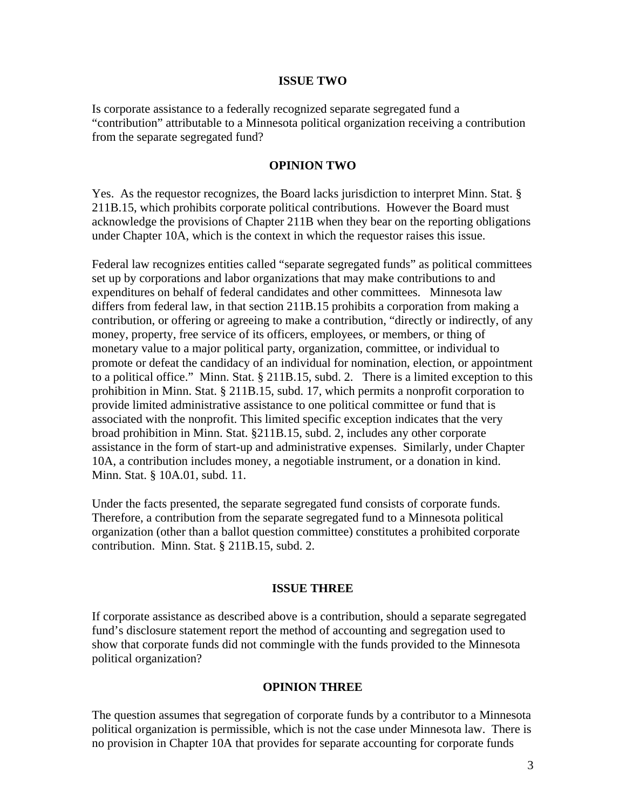#### **ISSUE TWO**

Is corporate assistance to a federally recognized separate segregated fund a "contribution" attributable to a Minnesota political organization receiving a contribution from the separate segregated fund?

#### **OPINION TWO**

Yes. As the requestor recognizes, the Board lacks jurisdiction to interpret Minn. Stat. § 211B.15, which prohibits corporate political contributions. However the Board must acknowledge the provisions of Chapter 211B when they bear on the reporting obligations under Chapter 10A, which is the context in which the requestor raises this issue.

Federal law recognizes entities called "separate segregated funds" as political committees set up by corporations and labor organizations that may make contributions to and expenditures on behalf of federal candidates and other committees. Minnesota law differs from federal law, in that section 211B.15 prohibits a corporation from making a contribution, or offering or agreeing to make a contribution, "directly or indirectly, of any money, property, free service of its officers, employees, or members, or thing of monetary value to a major political party, organization, committee, or individual to promote or defeat the candidacy of an individual for nomination, election, or appointment to a political office." Minn. Stat. § 211B.15, subd. 2. There is a limited exception to this prohibition in Minn. Stat. § 211B.15, subd. 17, which permits a nonprofit corporation to provide limited administrative assistance to one political committee or fund that is associated with the nonprofit. This limited specific exception indicates that the very broad prohibition in Minn. Stat. §211B.15, subd. 2, includes any other corporate assistance in the form of start-up and administrative expenses. Similarly, under Chapter 10A, a contribution includes money, a negotiable instrument, or a donation in kind. Minn. Stat. § 10A.01, subd. 11.

Under the facts presented, the separate segregated fund consists of corporate funds. Therefore, a contribution from the separate segregated fund to a Minnesota political organization (other than a ballot question committee) constitutes a prohibited corporate contribution. Minn. Stat. § 211B.15, subd. 2.

#### **ISSUE THREE**

If corporate assistance as described above is a contribution, should a separate segregated fund's disclosure statement report the method of accounting and segregation used to show that corporate funds did not commingle with the funds provided to the Minnesota political organization?

## **OPINION THREE**

The question assumes that segregation of corporate funds by a contributor to a Minnesota political organization is permissible, which is not the case under Minnesota law. There is no provision in Chapter 10A that provides for separate accounting for corporate funds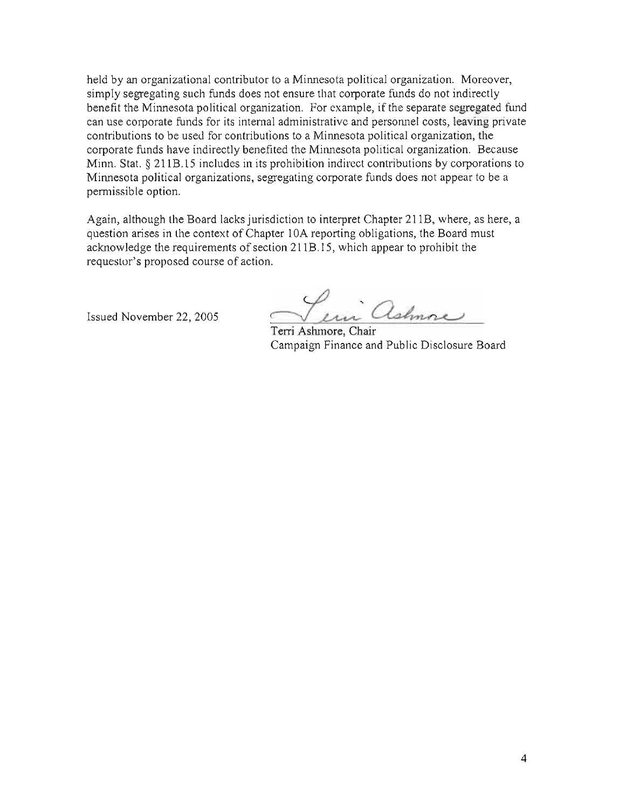held by an organizational contributor to a Minnesota political organization. Moreover, simply segregating such funds does not ensure that corporate funds do not indirectly benefit the Minnesota political organization. For example, if the separate segregated fund can use corporate funds for its internal administrative and personnel costs, leaving private contributions to be used for contributions to a Minnesota political organization, the corporate funds have indirectly benefited the Minnesota political organization. Because Minn. Stat. § 211B.15 includes in its prohibition indirect contributions by corporations to Minnesota political organizations, segregating corporate funds does not appear to be a permissible option.

Again, although the Board lacks jurisdiction to interpret Chapter 211B, where, as here, a question arises in the context of Chapter 10A reporting obligations, the Board must acknowledge the requirements of section 211B.15, which appear to prohibit the requestor's proposed course of action.

Issued November 22, 2005

Per ashmore

Terri Ashmore, Chair Campaign Finance and Public Disclosure Board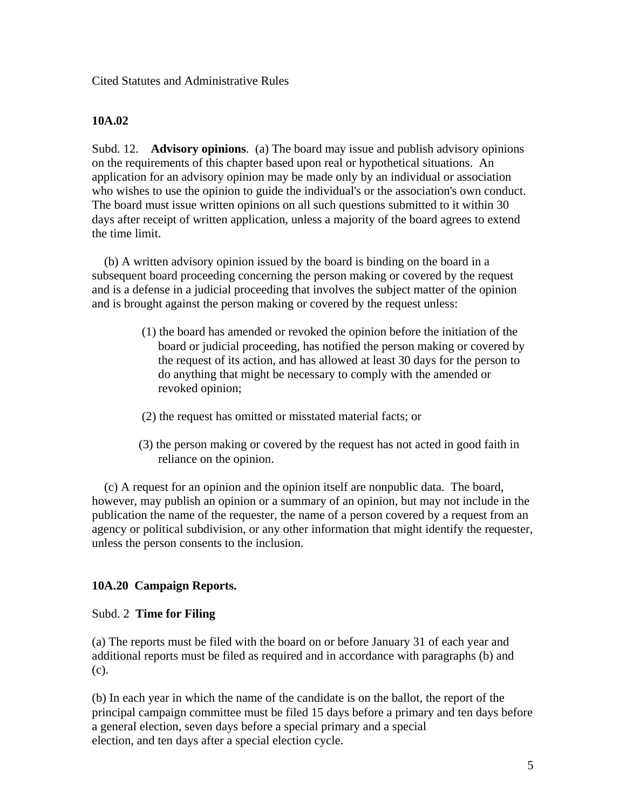Cited Statutes and Administrative Rules

# **10A.02**

Subd. 12. **Advisory opinions**. (a) The board may issue and publish advisory opinions on the requirements of this chapter based upon real or hypothetical situations. An application for an advisory opinion may be made only by an individual or association who wishes to use the opinion to guide the individual's or the association's own conduct. The board must issue written opinions on all such questions submitted to it within 30 days after receipt of written application, unless a majority of the board agrees to extend the time limit.

 (b) A written advisory opinion issued by the board is binding on the board in a subsequent board proceeding concerning the person making or covered by the request and is a defense in a judicial proceeding that involves the subject matter of the opinion and is brought against the person making or covered by the request unless:

- (1) the board has amended or revoked the opinion before the initiation of the board or judicial proceeding, has notified the person making or covered by the request of its action, and has allowed at least 30 days for the person to do anything that might be necessary to comply with the amended or revoked opinion;
- (2) the request has omitted or misstated material facts; or
- (3) the person making or covered by the request has not acted in good faith in reliance on the opinion.

 (c) A request for an opinion and the opinion itself are nonpublic data. The board, however, may publish an opinion or a summary of an opinion, but may not include in the publication the name of the requester, the name of a person covered by a request from an agency or political subdivision, or any other information that might identify the requester, unless the person consents to the inclusion.

# **10A.20 Campaign Reports.**

# Subd. 2 **Time for Filing**

(a) The reports must be filed with the board on or before January 31 of each year and additional reports must be filed as required and in accordance with paragraphs (b) and (c).

(b) In each year in which the name of the candidate is on the ballot, the report of the principal campaign committee must be filed 15 days before a primary and ten days before a general election, seven days before a special primary and a special election, and ten days after a special election cycle.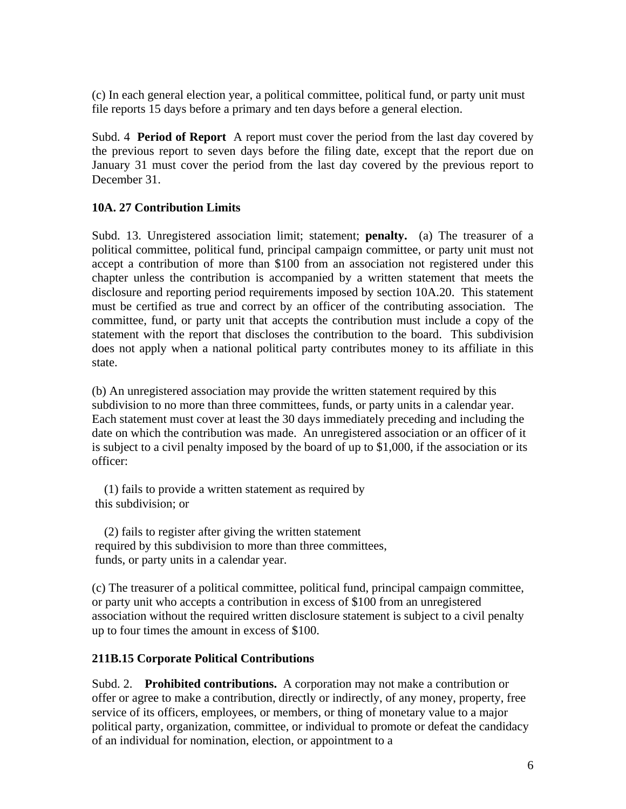(c) In each general election year, a political committee, political fund, or party unit must file reports 15 days before a primary and ten days before a general election.

Subd. 4 **Period of Report** A report must cover the period from the last day covered by the previous report to seven days before the filing date, except that the report due on January 31 must cover the period from the last day covered by the previous report to December 31.

# **10A. 27 Contribution Limits**

Subd. 13. Unregistered association limit; statement; **penalty.** (a) The treasurer of a political committee, political fund, principal campaign committee, or party unit must not accept a contribution of more than \$100 from an association not registered under this chapter unless the contribution is accompanied by a written statement that meets the disclosure and reporting period requirements imposed by section 10A.20. This statement must be certified as true and correct by an officer of the contributing association. The committee, fund, or party unit that accepts the contribution must include a copy of the statement with the report that discloses the contribution to the board. This subdivision does not apply when a national political party contributes money to its affiliate in this state.

(b) An unregistered association may provide the written statement required by this subdivision to no more than three committees, funds, or party units in a calendar year. Each statement must cover at least the 30 days immediately preceding and including the date on which the contribution was made. An unregistered association or an officer of it is subject to a civil penalty imposed by the board of up to \$1,000, if the association or its officer:

 (1) fails to provide a written statement as required by this subdivision; or

 (2) fails to register after giving the written statement required by this subdivision to more than three committees, funds, or party units in a calendar year.

(c) The treasurer of a political committee, political fund, principal campaign committee, or party unit who accepts a contribution in excess of \$100 from an unregistered association without the required written disclosure statement is subject to a civil penalty up to four times the amount in excess of \$100.

# **211B.15 Corporate Political Contributions**

Subd. 2. **Prohibited contributions.** A corporation may not make a contribution or offer or agree to make a contribution, directly or indirectly, of any money, property, free service of its officers, employees, or members, or thing of monetary value to a major political party, organization, committee, or individual to promote or defeat the candidacy of an individual for nomination, election, or appointment to a